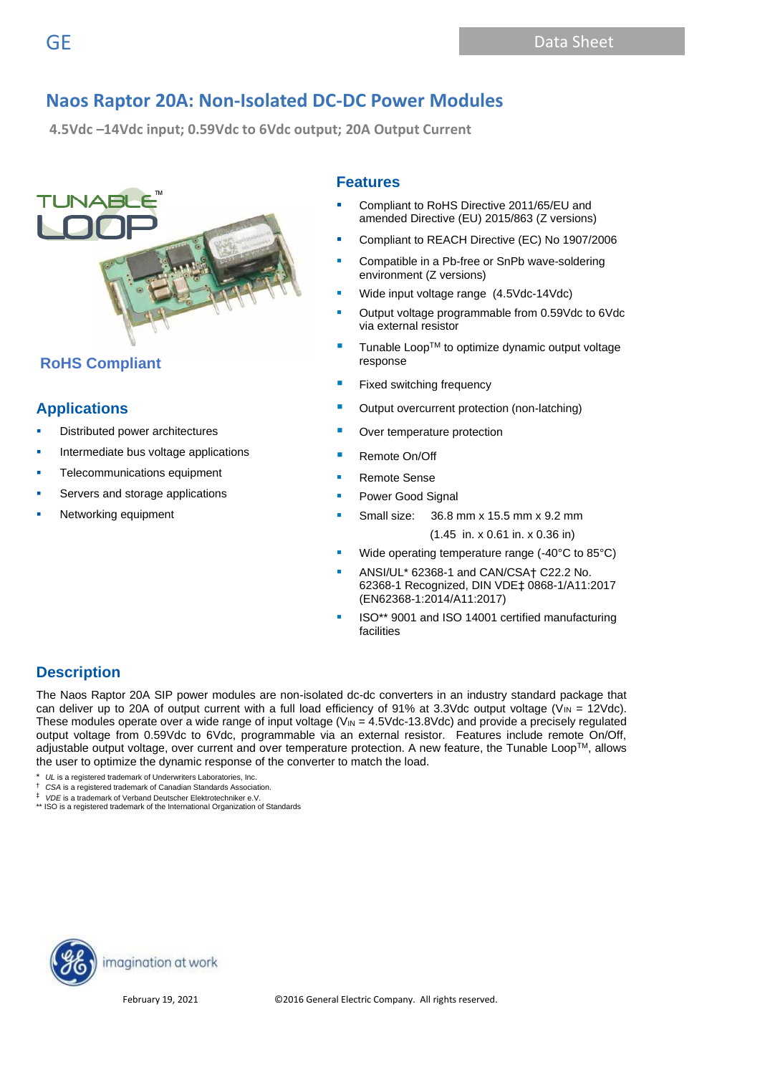**4.5Vdc –14Vdc input; 0.59Vdc to 6Vdc output; 20A Output Current**



# **RoHS Compliant**

# **Applications**

- Distributed power architectures
- Intermediate bus voltage applications
- Telecommunications equipment
- Servers and storage applications
- Networking equipment

### **Features**

- Compliant to RoHS Directive 2011/65/EU and amended Directive (EU) 2015/863 (Z versions)
- Compliant to REACH Directive (EC) No 1907/2006
- Compatible in a Pb-free or SnPb wave-soldering environment (Z versions)
- Wide input voltage range (4.5Vdc-14Vdc)
- Output voltage programmable from 0.59Vdc to 6Vdc via external resistor
- $\blacksquare$  Tunable Loop<sup>TM</sup> to optimize dynamic output voltage response
- **EXECU** Fixed switching frequency
- Output overcurrent protection (non-latching)
- Over temperature protection
- Remote On/Off
- **Remote Sense**
- **Power Good Signal**
- **E** Small size:  $36.8$  mm x 15.5 mm x 9.2 mm
	- (1.45 in. x 0.61 in. x 0.36 in)
- Wide operating temperature range  $(-40^{\circ}C)$  to  $85^{\circ}C$ )
- ANSI/UL\* 62368-1 and CAN/CSA† C22.2 No. 62368-1 Recognized, DIN VDE‡ 0868-1/A11:2017 (EN62368-1:2014/A11:2017)
- ISO\*\* 9001 and ISO 14001 certified manufacturing facilities

### **Description**

The Naos Raptor 20A SIP power modules are non-isolated dc-dc converters in an industry standard package that can deliver up to 20A of output current with a full load efficiency of 91% at 3.3Vdc output voltage (V<sub>IN</sub> = 12Vdc). These modules operate over a wide range of input voltage ( $V_{\text{IN}} = 4.5 \text{V}$ dc-13.8Vdc) and provide a precisely regulated output voltage from 0.59Vdc to 6Vdc, programmable via an external resistor. Features include remote On/Off, adjustable output voltage, over current and over temperature protection. A new feature, the Tunable Loop™, allows the user to optimize the dynamic response of the converter to match the load.

- UL is a registered trademark of Underwriters Laboratories, Inc.
- † *CSA* is a registered trademark of Canadian Standards Association.
- ‡ *VDE* is a trademark of Verband Deutscher Elektrotechniker e.V. \*\* ISO is a registered trademark of the International Organization of Standards

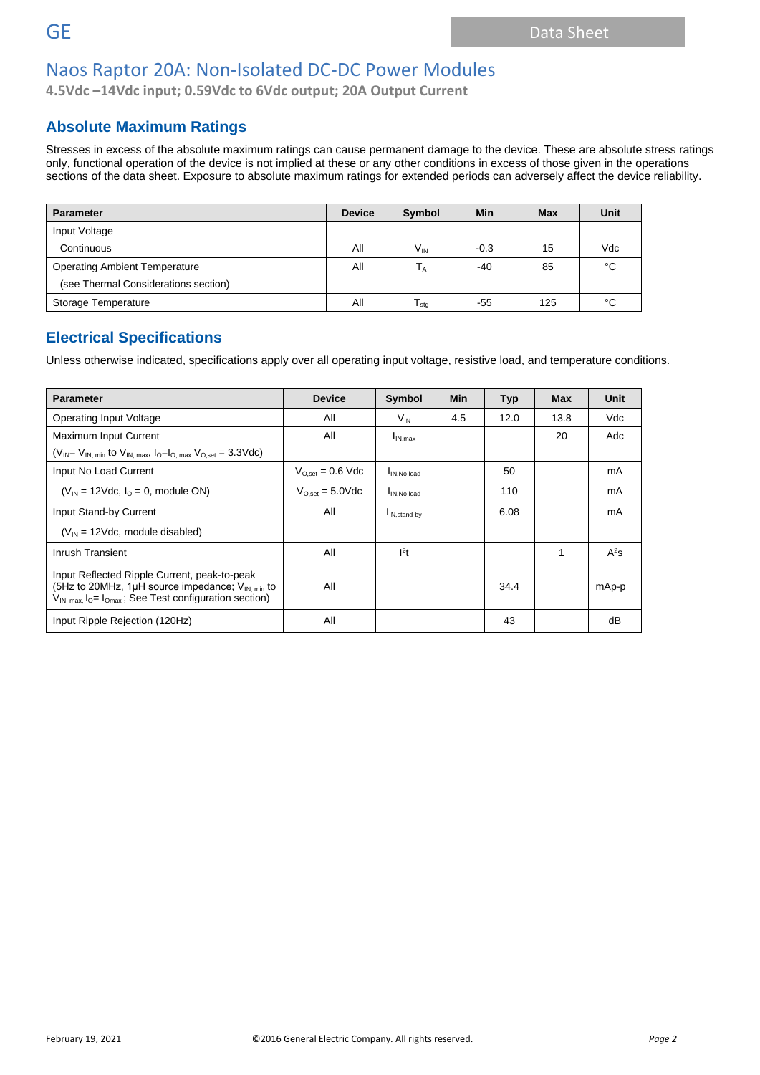**4.5Vdc –14Vdc input; 0.59Vdc to 6Vdc output; 20A Output Current**

# **Absolute Maximum Ratings**

Stresses in excess of the absolute maximum ratings can cause permanent damage to the device. These are absolute stress ratings only, functional operation of the device is not implied at these or any other conditions in excess of those given in the operations sections of the data sheet. Exposure to absolute maximum ratings for extended periods can adversely affect the device reliability.

| <b>Parameter</b>                     | <b>Device</b> | Symbol          | Min    | <b>Max</b> | Unit |
|--------------------------------------|---------------|-----------------|--------|------------|------|
| Input Voltage                        |               |                 |        |            |      |
| Continuous                           | All           | $V_{\text{IN}}$ | $-0.3$ | 15         | Vdc  |
| <b>Operating Ambient Temperature</b> | ΑIΙ           | I д             | -40    | 85         | °C   |
| (see Thermal Considerations section) |               |                 |        |            |      |
| Storage Temperature                  | All           | I sta           | -55    | 125        | °C   |

# **Electrical Specifications**

Unless otherwise indicated, specifications apply over all operating input voltage, resistive load, and temperature conditions.

| <b>Parameter</b>                                                                                                                                                        | <b>Device</b>         | Symbol                   | Min | <b>Typ</b> | Max  | Unit   |
|-------------------------------------------------------------------------------------------------------------------------------------------------------------------------|-----------------------|--------------------------|-----|------------|------|--------|
| <b>Operating Input Voltage</b>                                                                                                                                          | All                   | $V_{IN}$                 | 4.5 | 12.0       | 13.8 | Vdc    |
| Maximum Input Current                                                                                                                                                   | All                   | $I_{IN,max}$             |     |            | 20   | Adc    |
| $(V_{IN} = V_{IN, min}$ to $V_{IN, max}$ , $I_0 = I_{O, max}$ $V_{O, set} = 3.3$ Vdc)                                                                                   |                       |                          |     |            |      |        |
| Input No Load Current                                                                                                                                                   | $V_{O,set} = 0.6$ Vdc | I <sub>IN, No load</sub> |     | 50         |      | mA     |
| $(V_{IN} = 12Vdc, IO = 0$ , module ON)                                                                                                                                  | $V_{O,set} = 5.0$ Vdc | I <sub>IN.No load</sub>  |     | 110        |      | mA     |
| Input Stand-by Current                                                                                                                                                  | All                   | I <sub>IN,stand-by</sub> |     | 6.08       |      | mA     |
| $(V_{IN} = 12Vdc$ , module disabled)                                                                                                                                    |                       |                          |     |            |      |        |
| Inrush Transient                                                                                                                                                        | All                   | 1 <sup>2</sup> t         |     |            | 1    | $A^2s$ |
| Input Reflected Ripple Current, peak-to-peak<br>(5Hz to 20MHz, 1µH source impedance; $V_{IN, min}$ to<br>$V_{IN, max, 10} = I_{Omax}$ ; See Test configuration section) | All                   |                          |     | 34.4       |      | mAp-p  |
| Input Ripple Rejection (120Hz)                                                                                                                                          | All                   |                          |     | 43         |      | dB     |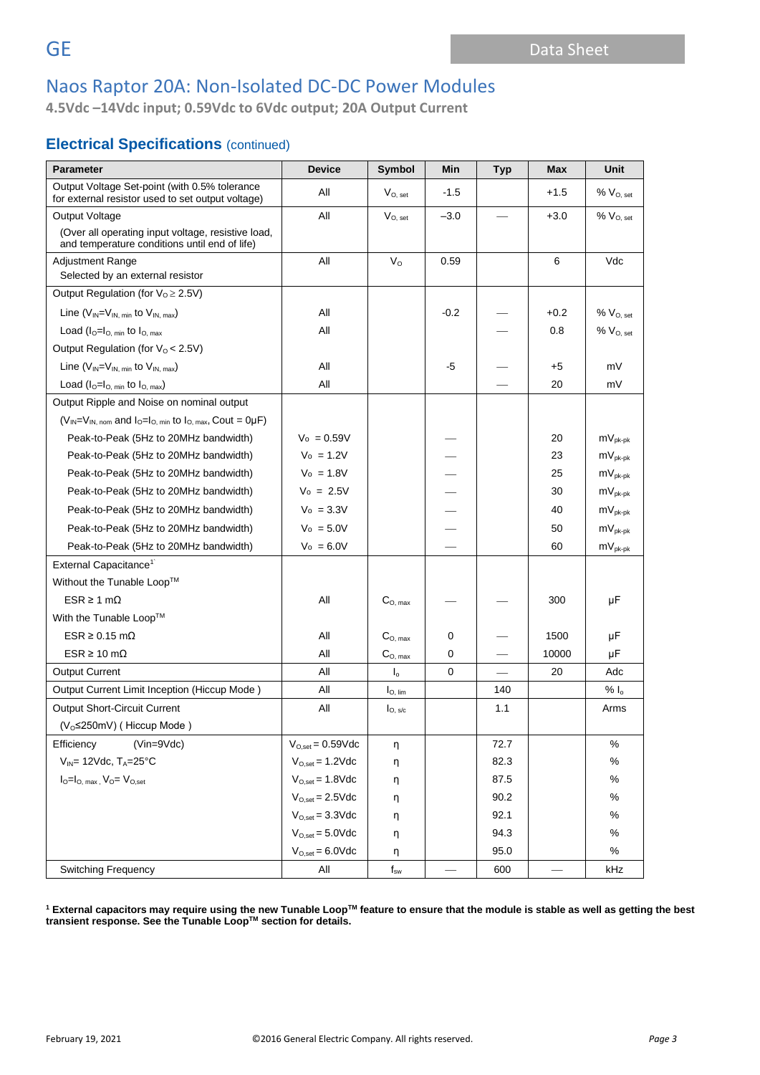**4.5Vdc –14Vdc input; 0.59Vdc to 6Vdc output; 20A Output Current**

## **Electrical Specifications** (continued)

| <b>Parameter</b>                                                                                    | <b>Device</b>                | <b>Symbol</b>            | Min         | <b>Typ</b> | Max    | Unit                                           |
|-----------------------------------------------------------------------------------------------------|------------------------------|--------------------------|-------------|------------|--------|------------------------------------------------|
| Output Voltage Set-point (with 0.5% tolerance<br>for external resistor used to set output voltage)  | All                          | $V_{O.}$ set             | $-1.5$      |            | $+1.5$ | % V <sub>O, set</sub>                          |
| Output Voltage                                                                                      | All                          | $V_{O, set}$             | $-3.0$      |            | $+3.0$ | $% V_{O, set}$                                 |
| (Over all operating input voltage, resistive load,<br>and temperature conditions until end of life) |                              |                          |             |            |        |                                                |
| <b>Adjustment Range</b>                                                                             | All                          | $V_{\rm O}$              | 0.59        |            | 6      | Vdc                                            |
| Selected by an external resistor                                                                    |                              |                          |             |            |        |                                                |
| Output Regulation (for $V_0 \geq 2.5V$ )                                                            |                              |                          |             |            |        |                                                |
| Line $(V_{IN} = V_{IN. min}$ to $V_{IN. max}$ )                                                     | All                          |                          | $-0.2$      |            | $+0.2$ | $% V_{O, set}$                                 |
| Load $(I_0 = I_0$ min to $I_0$ max                                                                  | All                          |                          |             |            | 0.8    | $%$ $V_{O.}$ set                               |
| Output Regulation (for $V_0 < 2.5V$ )                                                               |                              |                          |             |            |        |                                                |
| Line $(V_{IN} = V_{IN. min}$ to $V_{IN. max}$ )                                                     | All                          |                          | -5          |            | +5     | mV                                             |
| Load $(I_0=I_0_{min}$ to $I_0_{max}$                                                                | All                          |                          |             |            | 20     | mV                                             |
| Output Ripple and Noise on nominal output                                                           |                              |                          |             |            |        |                                                |
| $(V_{IN} = V_{IN, nom}$ and $I_0 = I_{O, min}$ to $I_{O, max}$ , Cout = 0µF)                        |                              |                          |             |            |        |                                                |
| Peak-to-Peak (5Hz to 20MHz bandwidth)                                                               | $V_0 = 0.59V$                |                          |             |            | 20     | $mV_{\rm pk\text{-}pk}$                        |
| Peak-to-Peak (5Hz to 20MHz bandwidth)                                                               | $V_0 = 1.2V$                 |                          |             |            | 23     | $mV_{pk-pk}$                                   |
| Peak-to-Peak (5Hz to 20MHz bandwidth)                                                               | $V_0 = 1.8V$                 |                          |             |            | 25     | $mV_{pk-pk}$                                   |
| Peak-to-Peak (5Hz to 20MHz bandwidth)                                                               | $V_0 = 2.5V$                 |                          |             |            | 30     | $\mathsf{mV}_{\mathsf{pk}\text{-}\mathsf{pk}}$ |
| Peak-to-Peak (5Hz to 20MHz bandwidth)                                                               | $V_0 = 3.3V$                 |                          |             |            | 40     | $mV_{pk-pk}$                                   |
| Peak-to-Peak (5Hz to 20MHz bandwidth)                                                               | $V_0 = 5.0V$                 |                          |             |            | 50     | $mV_{pk-pk}$                                   |
| Peak-to-Peak (5Hz to 20MHz bandwidth)                                                               | $V_0 = 6.0V$                 |                          |             |            | 60     | $mV_{pk-pk}$                                   |
| External Capacitance <sup>1</sup>                                                                   |                              |                          |             |            |        |                                                |
| Without the Tunable Loop™                                                                           |                              |                          |             |            |        |                                                |
| $ESR \ge 1 m\Omega$                                                                                 | All                          | $C_{O. max}$             |             |            | 300    | μF                                             |
| With the Tunable Loop™                                                                              |                              |                          |             |            |        |                                                |
| $ESR \geq 0.15$ m $\Omega$                                                                          | All                          | $C_{O, max}$             | 0           |            | 1500   | μF                                             |
| $ESR \ge 10 \text{ m}\Omega$                                                                        | All                          | $C_{O, max}$             | 0           |            | 10000  | μF                                             |
| <b>Output Current</b>                                                                               | All                          | $\mathsf{I}_\circ$       | $\mathbf 0$ |            | 20     | Adc                                            |
| Output Current Limit Inception (Hiccup Mode)                                                        | All                          | $I_{\text{O, lim}}$      |             | 140        |        | % $I_0$                                        |
| <b>Output Short-Circuit Current</b>                                                                 | All                          | $I_{\text{O, S/c}}$      |             | 1.1        |        | Arms                                           |
| (V <sub>o</sub> ≤250mV) (Hiccup Mode)                                                               |                              |                          |             |            |        |                                                |
| $(Vin=9Vdc)$<br>Efficiency                                                                          | $V_{O,set} = 0.59Vdc$        | η                        |             | 72.7       |        | %                                              |
| $V_{IN}$ = 12Vdc, T <sub>A</sub> =25°C                                                              | $V_{O,set} = 1.2$ Vdc        | η                        |             | 82.3       |        | ℅                                              |
| $I_{\text{O}}=I_{\text{O. max}}$ , $V_{\text{O}}=V_{\text{O. set}}$                                 | $V_{O,set} = 1.8$ Vdc        | η                        |             | 87.5       |        | $\%$                                           |
|                                                                                                     | $V_{O.set} = 2.5 \text{Vdc}$ | η                        |             | 90.2       |        | %                                              |
|                                                                                                     | $V_{O,set} = 3.3 \text{Vdc}$ | η                        |             | 92.1       |        | %                                              |
|                                                                                                     | $V_{O,set} = 5.0$ Vdc        | η                        |             | 94.3       |        | %                                              |
|                                                                                                     | $V_{O,set} = 6.0$ Vdc        | η                        |             | 95.0       |        | %                                              |
| <b>Switching Frequency</b>                                                                          | All                          | $\mathsf{f}_\mathsf{sw}$ |             | 600        |        | kHz                                            |

**<sup>1</sup> External capacitors may require using the new Tunable LoopTM feature to ensure that the module is stable as well as getting the best transient response. See the Tunable LoopTM section for details.**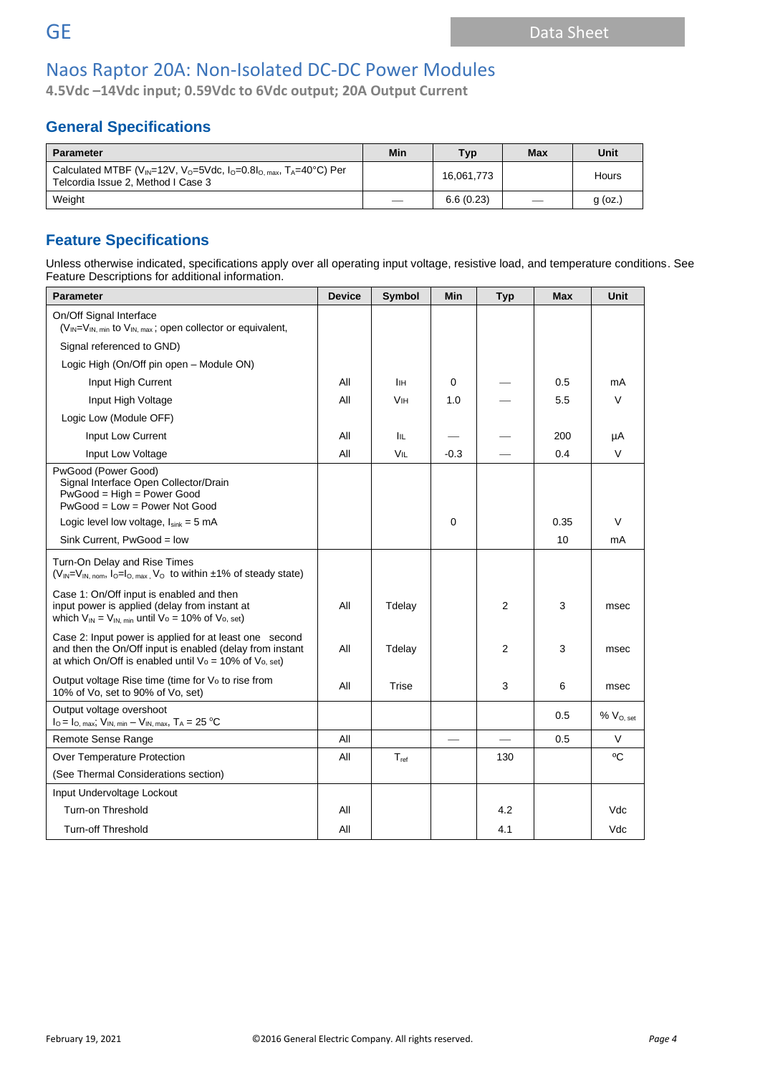**4.5Vdc –14Vdc input; 0.59Vdc to 6Vdc output; 20A Output Current**

# **General Specifications**

| <b>Parameter</b>                                                                                                                                                            | Min | <b>Typ</b> | Max                      | Unit      |
|-----------------------------------------------------------------------------------------------------------------------------------------------------------------------------|-----|------------|--------------------------|-----------|
| Calculated MTBF (V <sub>IN</sub> =12V, V <sub>0</sub> =5Vdc, $I_0$ =0.8 $I_0$ <sub>max</sub> , T <sub>A</sub> =40 <sup>o</sup> C) Per<br>Telcordia Issue 2, Method I Case 3 |     | 16.061.773 |                          | Hours     |
| Weight                                                                                                                                                                      |     | 6.6(0.23)  | $\overline{\phantom{a}}$ | $q$ (oz.) |

# **Feature Specifications**

Unless otherwise indicated, specifications apply over all operating input voltage, resistive load, and temperature conditions. See Feature Descriptions for additional information.

| <b>Parameter</b>                                                                                                                                                                    | <b>Device</b> | Symbol                | Min         | <b>Typ</b>     | <b>Max</b> | <b>Unit</b>           |
|-------------------------------------------------------------------------------------------------------------------------------------------------------------------------------------|---------------|-----------------------|-------------|----------------|------------|-----------------------|
| On/Off Signal Interface<br>$(V_{IN} = V_{IN, min}$ to $V_{IN, max}$ ; open collector or equivalent,                                                                                 |               |                       |             |                |            |                       |
| Signal referenced to GND)                                                                                                                                                           |               |                       |             |                |            |                       |
| Logic High (On/Off pin open - Module ON)                                                                                                                                            |               |                       |             |                |            |                       |
| Input High Current                                                                                                                                                                  | All           | IІн                   | $\Omega$    |                | 0.5        | mA                    |
| Input High Voltage                                                                                                                                                                  | All           | <b>V<sub>IH</sub></b> | 1.0         |                | 5.5        | $\vee$                |
| Logic Low (Module OFF)                                                                                                                                                              |               |                       |             |                |            |                       |
| Input Low Current                                                                                                                                                                   | All           | ÌЩ                    |             |                | 200        | μA                    |
| Input Low Voltage                                                                                                                                                                   | All           | VIL                   | $-0.3$      |                | 0.4        | V                     |
| PwGood (Power Good)<br>Signal Interface Open Collector/Drain<br>PwGood = High = Power Good<br>PwGood = Low = Power Not Good                                                         |               |                       |             |                |            |                       |
| Logic level low voltage, $I_{sink} = 5$ mA                                                                                                                                          |               |                       | $\mathbf 0$ |                | 0.35       | $\vee$                |
| Sink Current, PwGood = low                                                                                                                                                          |               |                       |             |                | 10         | mA                    |
| Turn-On Delay and Rise Times<br>$(V_{IN} = V_{IN, nom}, I_0 = I_{O, max}, V_0$ to within $\pm 1\%$ of steady state)                                                                 |               |                       |             |                |            |                       |
| Case 1: On/Off input is enabled and then<br>input power is applied (delay from instant at<br>which $V_{IN} = V_{IN. min}$ until $V_0 = 10\%$ of $V_0$ , set)                        | All           | Tdelay                |             | 2              | 3          | msec                  |
| Case 2: Input power is applied for at least one second<br>and then the On/Off input is enabled (delay from instant<br>at which On/Off is enabled until $V_0 = 10\%$ of $V_0$ , set) | All           | Tdelay                |             | $\overline{2}$ | 3          | msec                  |
| Output voltage Rise time (time for V <sub>o</sub> to rise from<br>10% of Vo, set to 90% of Vo, set)                                                                                 | All           | Trise                 |             | 3              | 6          | msec                  |
| Output voltage overshoot<br>$I_{\text{O}} = I_{\text{O, max}}$ ; $V_{\text{IN, min}} - V_{\text{IN, max}}$ , $T_{\text{A}} = 25 \text{ °C}$                                         |               |                       |             |                | 0.5        | % V <sub>O, set</sub> |
| Remote Sense Range                                                                                                                                                                  | All           |                       |             |                | 0.5        | V                     |
| Over Temperature Protection                                                                                                                                                         | All           | $T_{ref}$             |             | 130            |            | °C                    |
| (See Thermal Considerations section)                                                                                                                                                |               |                       |             |                |            |                       |
| Input Undervoltage Lockout                                                                                                                                                          |               |                       |             |                |            |                       |
| Turn-on Threshold                                                                                                                                                                   | All           |                       |             | 4.2            |            | Vdc                   |
| <b>Turn-off Threshold</b>                                                                                                                                                           | All           |                       |             | 4.1            |            | Vdc                   |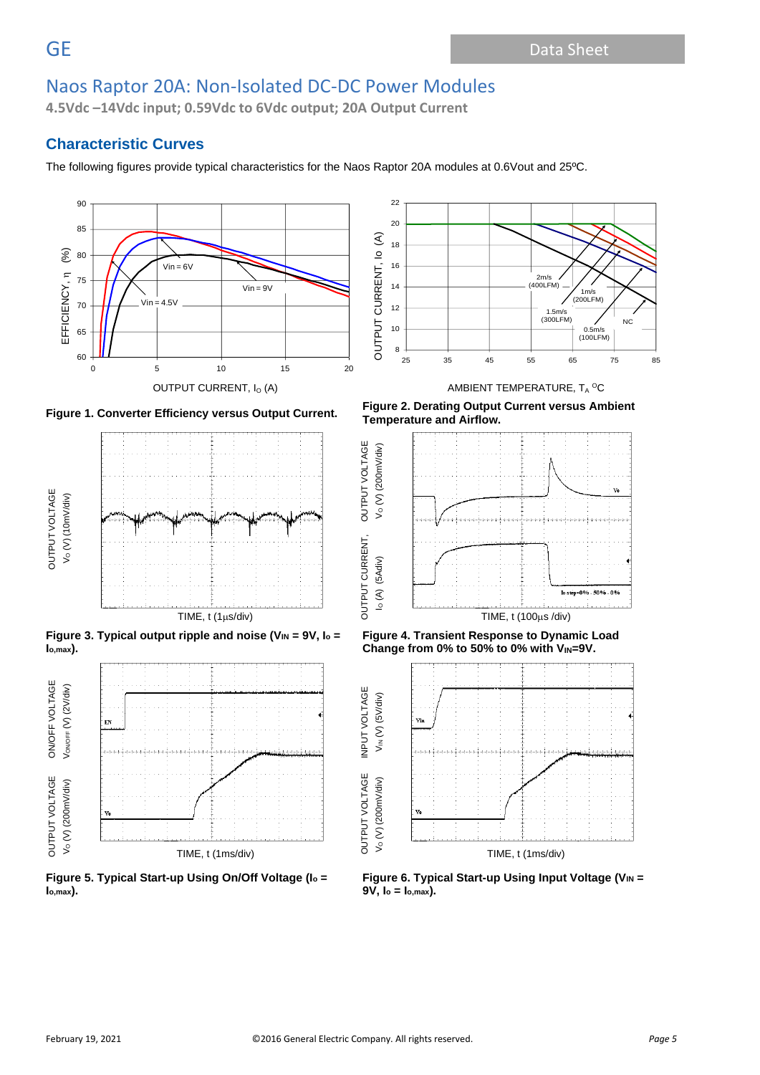**4.5Vdc –14Vdc input; 0.59Vdc to 6Vdc output; 20A Output Current**

### **Characteristic Curves**

The following figures provide typical characteristics for the Naos Raptor 20A modules at 0.6Vout and 25ºC.

22





OUTPUT CURRENT, I $_{\rm O}$  (A)  $_{\rm AMBIENT}$  temperature, T $_{\rm A}$   $^{\rm O}$ C





**Figure 3. Typical output ripple and noise (V<sub>IN</sub> = 9V, l<sub>o</sub> = Io,max).**



**Figure 5. Typical Start-up Using On/Off Voltage (I<sup>o</sup> = Io,max).**

**Figure 1. Converter Efficiency versus Output Current. Figure 2. Derating Output Current versus Ambient** 



**Figure 4. Transient Response to Dynamic Load Change from 0% to 50% to 0% with VIN=9V.**



**Figure 6. Typical Start-up Using Input Voltage (V<sub>IN</sub> = 9V, I<sup>o</sup> = Io,max).**

INPUT VOLTAGE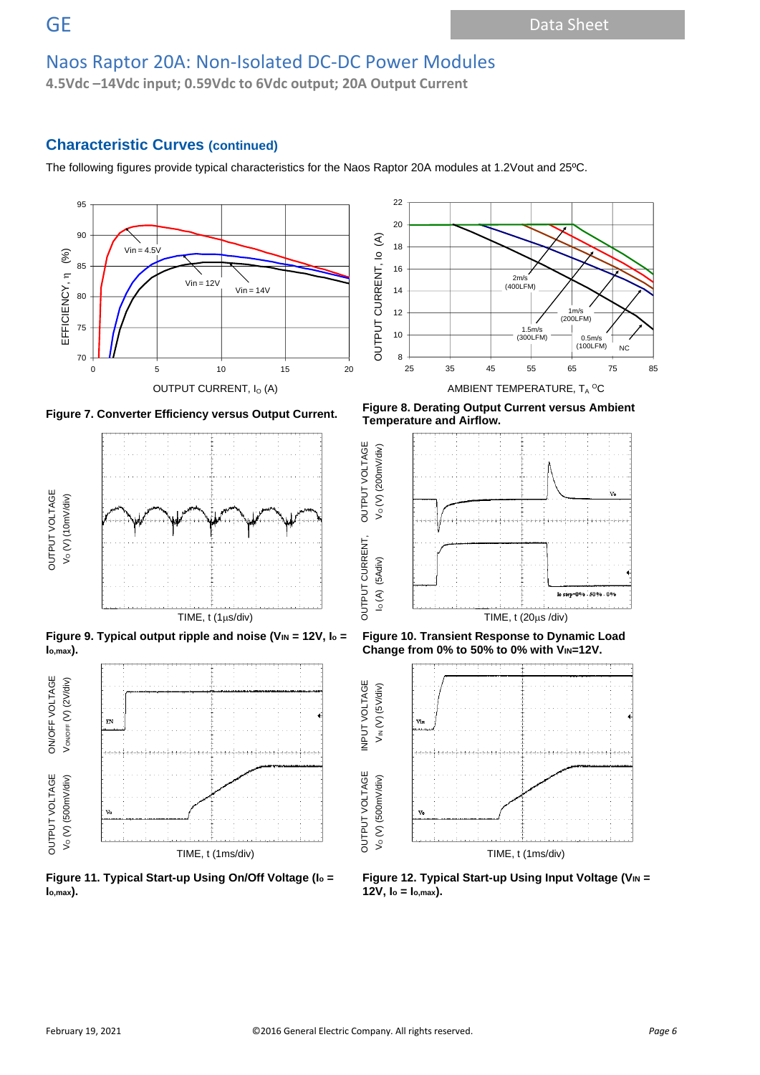**4.5Vdc –14Vdc input; 0.59Vdc to 6Vdc output; 20A Output Current**

## **Characteristic Curves (continued)**

The following figures provide typical characteristics for the Naos Raptor 20A modules at 1.2Vout and 25ºC.









**Figure 9. Typical output ripple and noise (V<sub>IN</sub> = 12V, l<sub>o</sub> = Io,max).**



**Figure 11. Typical Start-up Using On/Off Voltage (I<sup>o</sup> = Io,max).**

**Figure 7. Converter Efficiency versus Output Current. Figure 8. Derating Output Current versus Ambient Temperature and Airflow.**



**Figure 10. Transient Response to Dynamic Load Change from 0% to 50% to 0% with VIN=12V.**



**Figure 12. Typical Start-up Using Input Voltage (V<sub>IN</sub> = 12V, I<sup>o</sup> = Io,max).**

OUTPUT CURRENT, OUTPUT VOLTAGE

**OUTPUT VOLTAGE** 

OUTPUT VOLTAGE INPUT VOLTAGE

INPUT VOLTAGE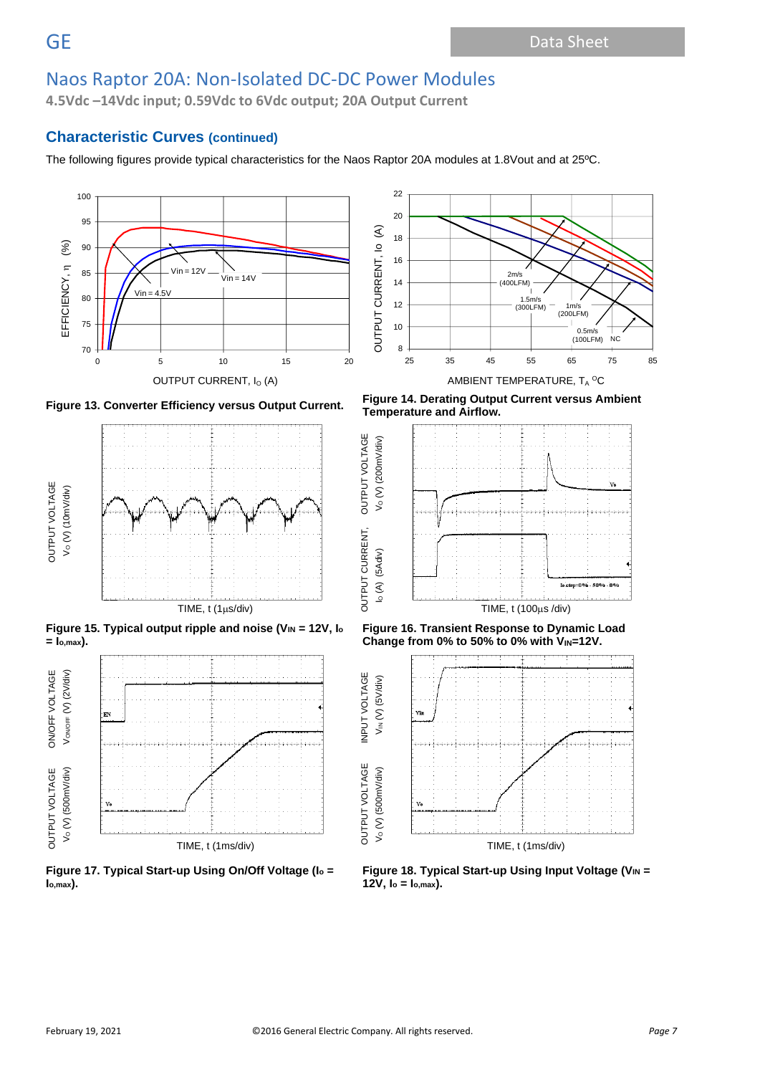**4.5Vdc –14Vdc input; 0.59Vdc to 6Vdc output; 20A Output Current**

### **Characteristic Curves (continued)**

The following figures provide typical characteristics for the Naos Raptor 20A modules at 1.8Vout and at 25ºC.

**OUTPUT VOLTAGE** 













**Figure 15. Typical output ripple and noise (V<sub>IN</sub> = 12V, l<sub>o</sub> = Io,max).**



**Figure 17. Typical Start-up Using On/Off Voltage (I<sup>o</sup> = Io,max).**

**Figure 13. Converter Efficiency versus Output Current. Figure 14. Derating Output Current versus Ambient Temperature and Airflow.**



**Figure 16. Transient Response to Dynamic Load**  Change from 0% to 50% to 0% with  $V_{\text{IN}}$ =12V.



**Figure 18. Typical Start-up Using Input Voltage (V<sub>IN</sub> = 12V, I<sup>o</sup> = Io,max).**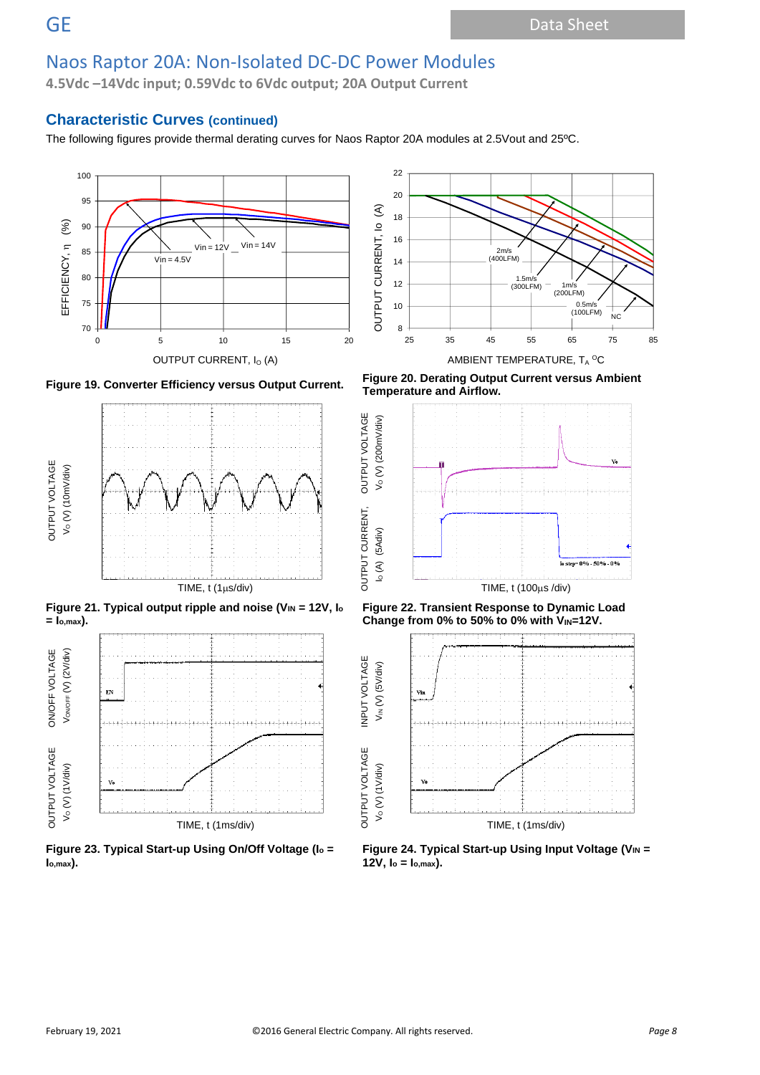**4.5Vdc –14Vdc input; 0.59Vdc to 6Vdc output; 20A Output Current**

### **Characteristic Curves (continued)**

The following figures provide thermal derating curves for Naos Raptor 20A modules at 2.5Vout and 25ºC.

**OUTPUT VOLTAGE** 











**Figure 23. Typical Start-up Using On/Off Voltage (I<sup>o</sup> = Io,max).**



**Figure 19. Converter Efficiency versus Output Current. Figure 20. Derating Output Current versus Ambient Temperature and Airflow.**



**Figure 22. Transient Response to Dynamic Load Change from 0% to 50% to 0% with VIN=12V.**



**Figure 24. Typical Start-up Using Input Voltage (VIN = 12V, I<sup>o</sup> = Io,max).**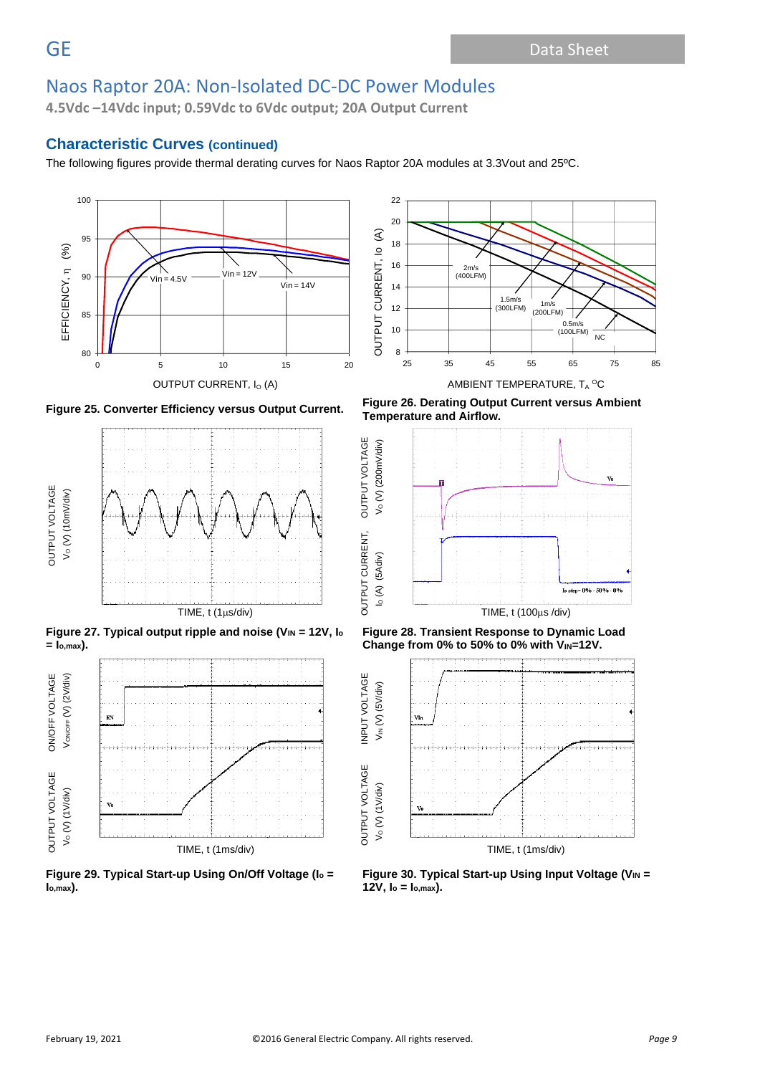**4.5Vdc –14Vdc input; 0.59Vdc to 6Vdc output; 20A Output Current**

### **Characteristic Curves (continued)**

The following figures provide thermal derating curves for Naos Raptor 20A modules at 3.3Vout and 25ºC.







**Figure 27. Typical output ripple and noise (VIN = 12V, I<sup>o</sup> = Io,max).**



**Figure 29. Typical Start-up Using On/Off Voltage (I<sup>o</sup> = Io,max).**







**Figure 28. Transient Response to Dynamic Load Change from 0% to 50% to 0% with VIN=12V.**



**Figure 30. Typical Start-up Using Input Voltage (VIN = 12V, I<sup>o</sup> = Io,max).**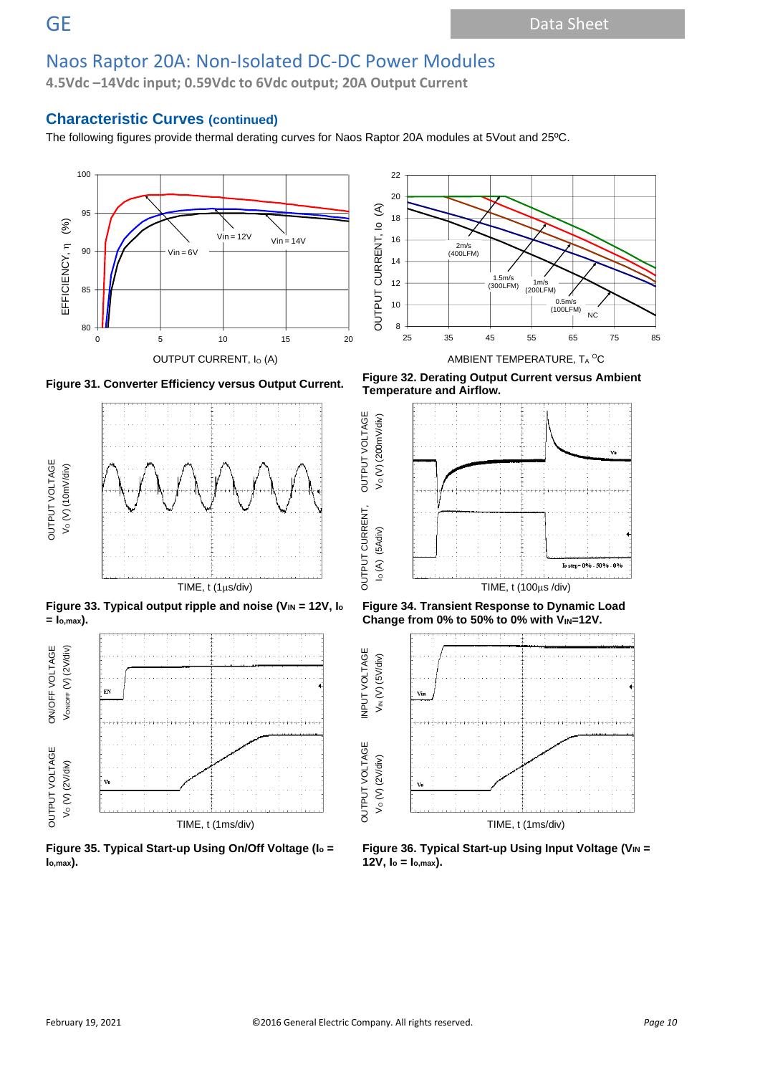**4.5Vdc –14Vdc input; 0.59Vdc to 6Vdc output; 20A Output Current**

### **Characteristic Curves (continued)**

The following figures provide thermal derating curves for Naos Raptor 20A modules at 5Vout and 25ºC.













**Figure 35. Typical Start-up Using On/Off Voltage (I<sup>o</sup> = Io,max).**

**Figure 31. Converter Efficiency versus Output Current. Figure 32. Derating Output Current versus Ambient Temperature and Airflow.**







**Figure 36. Typical Start-up Using Input Voltage (VIN = 12V, I<sup>o</sup> = Io,max).**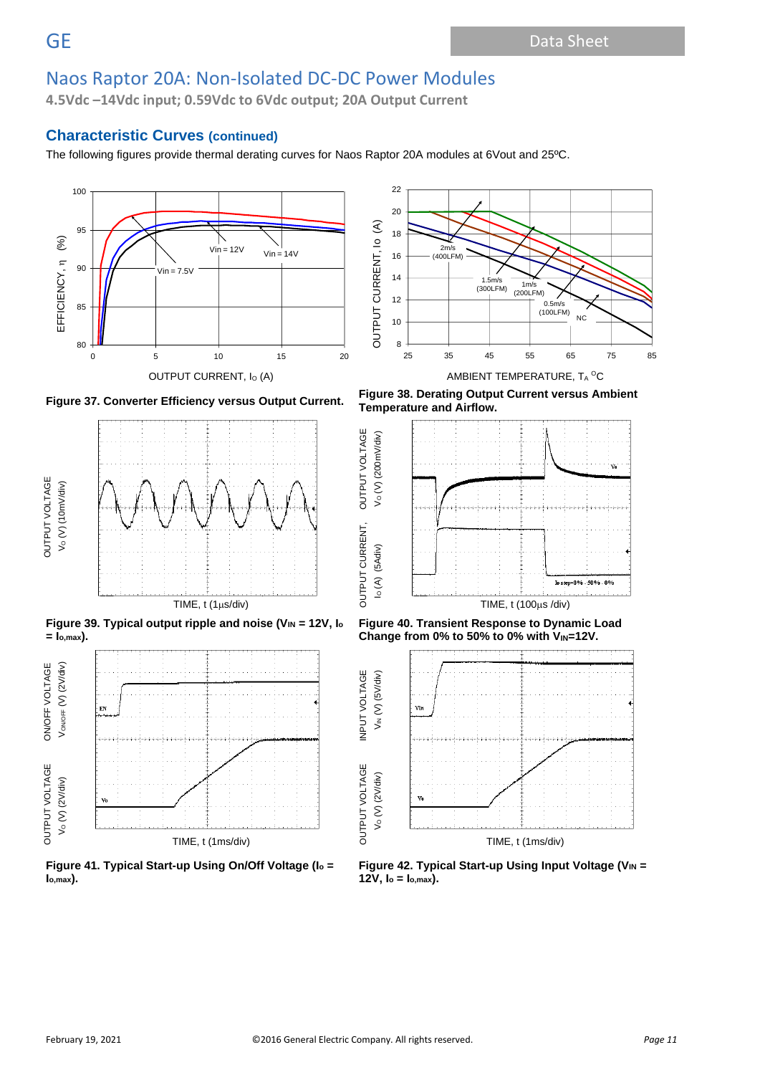**4.5Vdc –14Vdc input; 0.59Vdc to 6Vdc output; 20A Output Current**

### **Characteristic Curves (continued)**

The following figures provide thermal derating curves for Naos Raptor 20A modules at 6Vout and 25ºC.









**Figure 39. Typical output ripple and noise (VIN = 12V, I<sup>o</sup> = Io,max).**



**Figure 41. Typical Start-up Using On/Off Voltage (I<sup>o</sup> = Io,max).**

**Figure 37. Converter Efficiency versus Output Current. Figure 38. Derating Output Current versus Ambient Temperature and Airflow.**



**Figure 40. Transient Response to Dynamic Load**  Change from 0% to 50% to 0% with  $V_{\text{IN}}$ =12V.



**Figure 42. Typical Start-up Using Input Voltage (VIN = 12V, I<sup>o</sup> = Io,max).**

**OUTPUT VOLTAGE** 

INPUT VOLTAGE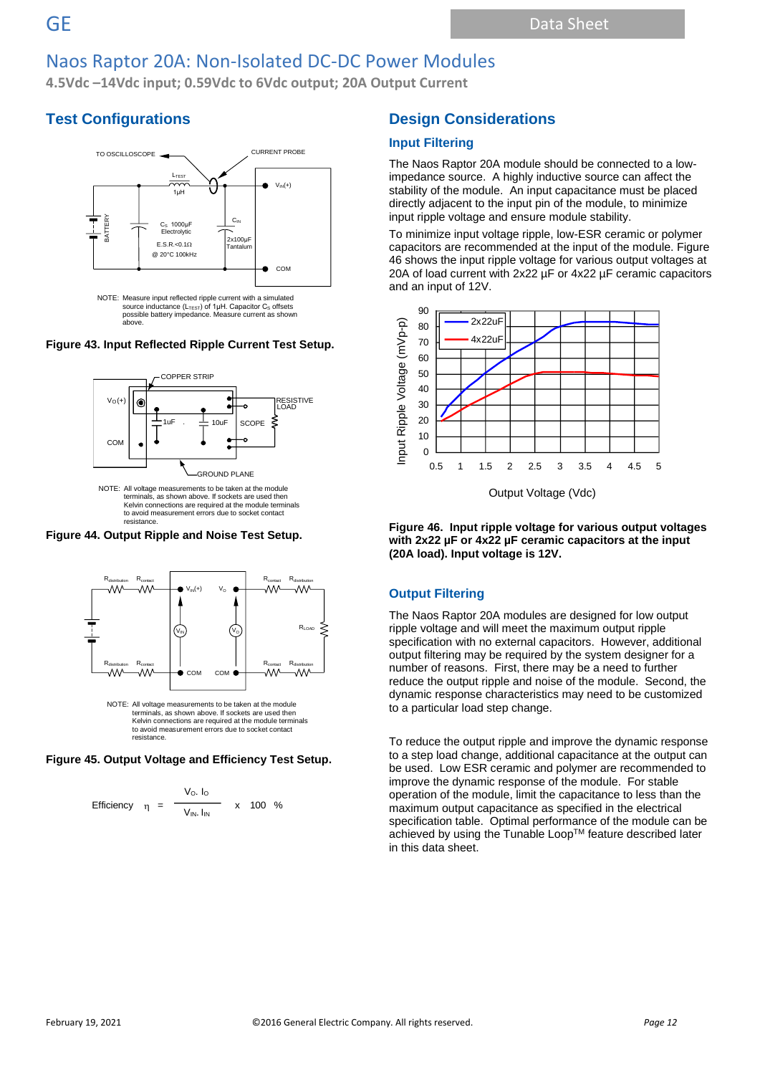**4.5Vdc –14Vdc input; 0.59Vdc to 6Vdc output; 20A Output Current**

### **Test Configurations**



NOTE: Measure input reflected ripple current with a simulated source inductance (L<sub>TEST</sub>) of 1μH. Capacitor C<sub>s</sub> offsets<br>possible battery impedance. Measure current as shown above.

#### **Figure 43. Input Reflected Ripple Current Test Setup.**



terminals, as shown above. If sockets are used then Kelvin connections are required at the module terminals to avoid measurement errors due to socket contact resistance.

**Figure 44. Output Ripple and Noise Test Setup.**



#### **Figure 45. Output Voltage and Efficiency Test Setup.**



### **Design Considerations**

#### **Input Filtering**

The Naos Raptor 20A module should be connected to a lowimpedance source. A highly inductive source can affect the stability of the module. An input capacitance must be placed directly adjacent to the input pin of the module, to minimize input ripple voltage and ensure module stability.

To minimize input voltage ripple, low-ESR ceramic or polymer capacitors are recommended at the input of the module. Figure 46 shows the input ripple voltage for various output voltages at 20A of load current with 2x22 µF or 4x22 µF ceramic capacitors and an input of 12V.



**Figure 46. Input ripple voltage for various output voltages with 2x22 µF or 4x22 µF ceramic capacitors at the input (20A load). Input voltage is 12V.**

#### **Output Filtering**

The Naos Raptor 20A modules are designed for low output ripple voltage and will meet the maximum output ripple specification with no external capacitors. However, additional output filtering may be required by the system designer for a number of reasons. First, there may be a need to further reduce the output ripple and noise of the module. Second, the dynamic response characteristics may need to be customized to a particular load step change.

To reduce the output ripple and improve the dynamic response to a step load change, additional capacitance at the output can be used. Low ESR ceramic and polymer are recommended to improve the dynamic response of the module. For stable operation of the module, limit the capacitance to less than the maximum output capacitance as specified in the electrical specification table. Optimal performance of the module can be achieved by using the Tunable Loop™ feature described later in this data sheet.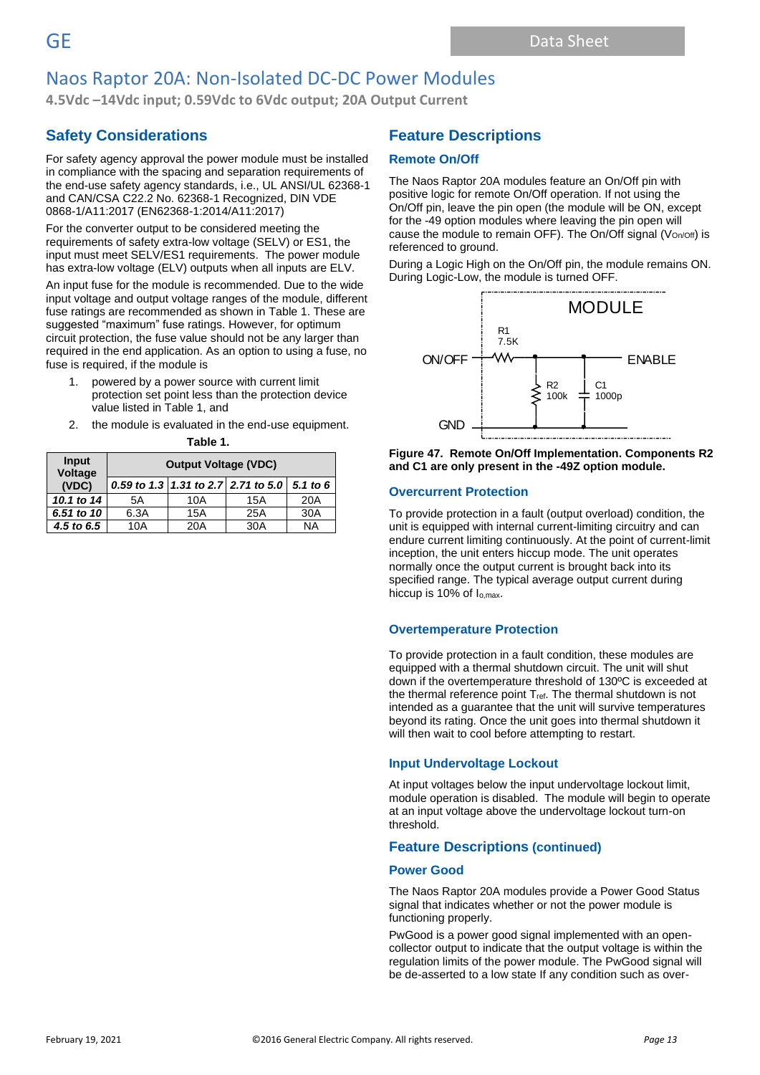**4.5Vdc –14Vdc input; 0.59Vdc to 6Vdc output; 20A Output Current**

# **Safety Considerations**

For safety agency approval the power module must be installed in compliance with the spacing and separation requirements of the end-use safety agency standards, i.e., UL ANSI/UL 62368-1 and CAN/CSA C22.2 No. 62368-1 Recognized, DIN VDE 0868-1/A11:2017 (EN62368-1:2014/A11:2017)

For the converter output to be considered meeting the requirements of safety extra-low voltage (SELV) or ES1, the input must meet SELV/ES1 requirements. The power module has extra-low voltage (ELV) outputs when all inputs are ELV.

An input fuse for the module is recommended. Due to the wide input voltage and output voltage ranges of the module, different fuse ratings are recommended as shown in Table 1. These are suggested "maximum" fuse ratings. However, for optimum circuit protection, the fuse value should not be any larger than required in the end application. As an option to using a fuse, no fuse is required, if the module is

- 1. powered by a power source with current limit protection set point less than the protection device value listed in Table 1, and
- 2. the module is evaluated in the end-use equipment. **Table 1.**

| .                |                             |     |                                              |     |  |  |  |
|------------------|-----------------------------|-----|----------------------------------------------|-----|--|--|--|
| Input<br>Voltage | <b>Output Voltage (VDC)</b> |     |                                              |     |  |  |  |
| (VDC)            |                             |     | 0.59 to 1.3 1.31 to 2.7 2.71 to 5.0 5.1 to 6 |     |  |  |  |
| 10.1 to 14       | 5Α                          | 10A | 15A                                          | 20A |  |  |  |
| 6.51 to 10       | 6.3A                        | 15A | 25A                                          | 30A |  |  |  |
| 4.5 to 6.5       | 10A                         | 20A | 30A                                          | NA  |  |  |  |

### **Feature Descriptions**

#### **Remote On/Off**

The Naos Raptor 20A modules feature an On/Off pin with positive logic for remote On/Off operation. If not using the On/Off pin, leave the pin open (the module will be ON, except for the -49 option modules where leaving the pin open will cause the module to remain OFF). The On/Off signal ( $V_{On/Off}$ ) is referenced to ground.

During a Logic High on the On/Off pin, the module remains ON. During Logic-Low, the module is turned OFF.



**Figure 47. Remote On/Off Implementation. Components R2 and C1 are only present in the -49Z option module.**

#### **Overcurrent Protection**

To provide protection in a fault (output overload) condition, the unit is equipped with internal current-limiting circuitry and can endure current limiting continuously. At the point of current-limit inception, the unit enters hiccup mode. The unit operates normally once the output current is brought back into its specified range. The typical average output current during hiccup is 10% of  $I_{o,max}$ .

### **Overtemperature Protection**

To provide protection in a fault condition, these modules are equipped with a thermal shutdown circuit. The unit will shut down if the overtemperature threshold of 130ºC is exceeded at the thermal reference point T<sub>ref</sub>. The thermal shutdown is not intended as a guarantee that the unit will survive temperatures beyond its rating. Once the unit goes into thermal shutdown it will then wait to cool before attempting to restart.

### **Input Undervoltage Lockout**

At input voltages below the input undervoltage lockout limit, module operation is disabled. The module will begin to operate at an input voltage above the undervoltage lockout turn-on threshold.

### **Feature Descriptions (continued)**

#### **Power Good**

The Naos Raptor 20A modules provide a Power Good Status signal that indicates whether or not the power module is functioning properly.

PwGood is a power good signal implemented with an opencollector output to indicate that the output voltage is within the regulation limits of the power module. The PwGood signal will be de-asserted to a low state If any condition such as over-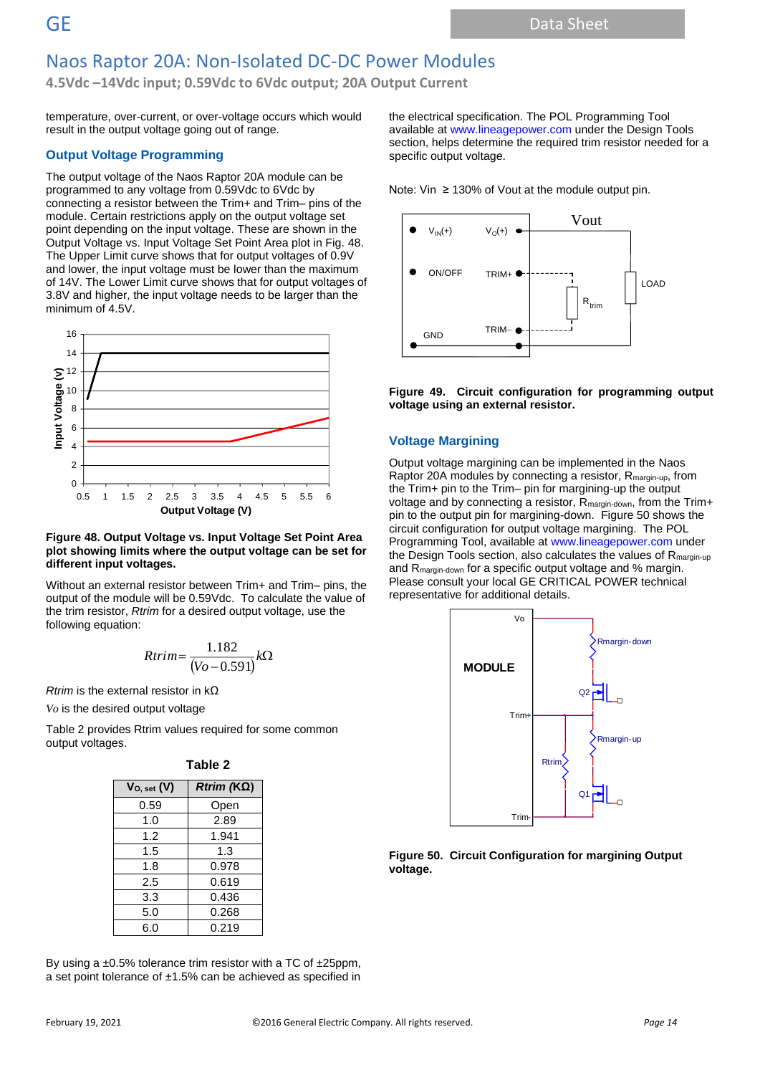**4.5Vdc –14Vdc input; 0.59Vdc to 6Vdc output; 20A Output Current**

temperature, over-current, or over-voltage occurs which would result in the output voltage going out of range.

#### **Output Voltage Programming**

The output voltage of the Naos Raptor 20A module can be programmed to any voltage from 0.59Vdc to 6Vdc by connecting a resistor between the Trim+ and Trim– pins of the module. Certain restrictions apply on the output voltage set point depending on the input voltage. These are shown in the Output Voltage vs. Input Voltage Set Point Area plot in Fig. 48. The Upper Limit curve shows that for output voltages of 0.9V and lower, the input voltage must be lower than the maximum of 14V. The Lower Limit curve shows that for output voltages of 3.8V and higher, the input voltage needs to be larger than the minimum of 4.5V.



#### **Figure 48. Output Voltage vs. Input Voltage Set Point Area plot showing limits where the output voltage can be set for different input voltages.**

Without an external resistor between Trim+ and Trim– pins, the output of the module will be 0.59Vdc. To calculate the value of the trim resistor, *Rtrim* for a desired output voltage, use the following equation:

$$
Rtrim = \frac{1.182}{(Vo - 0.591)}k\Omega
$$

*Rtrim* is the external resistor in kΩ

*Vo* is the desired output voltage

Table 2 provides Rtrim values required for some common output voltages.

| н<br>. .<br>٠ | U. |  |
|---------------|----|--|
|               |    |  |

| $V_{O, set}(V)$ | $Rtrim (K\Omega)$ |
|-----------------|-------------------|
| 0.59            | Open              |
| 1.0             | 2.89              |
| 1.2             | 1.941             |
| 1.5             | 1.3               |
| 1.8             | 0.978             |
| 2.5             | 0.619             |
| 3.3             | 0.436             |
| 5.0             | 0.268             |
| 6.0             | 0.219             |

By using a ±0.5% tolerance trim resistor with a TC of ±25ppm, a set point tolerance of  $\pm 1.5\%$  can be achieved as specified in the electrical specification. The POL Programming Tool available at www.lineagepower.com under the Design Tools section, helps determine the required trim resistor needed for a specific output voltage.

Note: Vin ≥ 130% of Vout at the module output pin.



**Figure 49. Circuit configuration for programming output voltage using an external resistor.**

#### **Voltage Margining**

Output voltage margining can be implemented in the Naos Raptor 20A modules by connecting a resistor, Rmargin-up, from the Trim+ pin to the Trim– pin for margining-up the output voltage and by connecting a resistor, Rmargin-down, from the Trim+ pin to the output pin for margining-down. Figure 50 shows the circuit configuration for output voltage margining. The POL Programming Tool, available at www.lineagepower.com under the Design Tools section, also calculates the values of Rmargin-up and Rmargin-down for a specific output voltage and % margin. Please consult your local GE CRITICAL POWER technical representative for additional details.



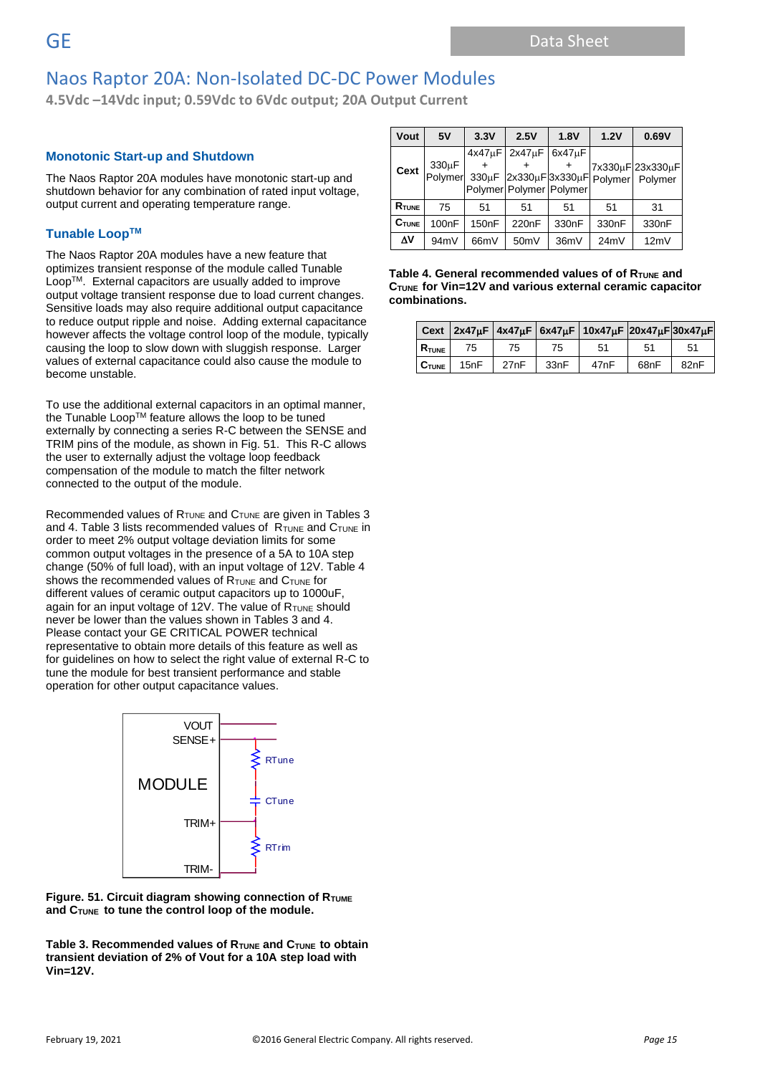**4.5Vdc –14Vdc input; 0.59Vdc to 6Vdc output; 20A Output Current**

#### **Monotonic Start-up and Shutdown**

The Naos Raptor 20A modules have monotonic start-up and shutdown behavior for any combination of rated input voltage, output current and operating temperature range.

### **Tunable LoopTM**

The Naos Raptor 20A modules have a new feature that optimizes transient response of the module called Tunable LoopTM. External capacitors are usually added to improve output voltage transient response due to load current changes. Sensitive loads may also require additional output capacitance to reduce output ripple and noise. Adding external capacitance however affects the voltage control loop of the module, typically causing the loop to slow down with sluggish response. Larger values of external capacitance could also cause the module to become unstable.

To use the additional external capacitors in an optimal manner, the Tunable Loop™ feature allows the loop to be tuned externally by connecting a series R-C between the SENSE and TRIM pins of the module, as shown in Fig. 51. This R-C allows the user to externally adjust the voltage loop feedback compensation of the module to match the filter network connected to the output of the module.

Recommended values of R<sub>TUNE</sub> and C<sub>TUNE</sub> are given in Tables 3 and 4. Table 3 lists recommended values of RTUNE and CTUNE in order to meet 2% output voltage deviation limits for some common output voltages in the presence of a 5A to 10A step change (50% of full load), with an input voltage of 12V. Table 4 shows the recommended values of R<sub>TUNE</sub> and C<sub>TUNE</sub> for different values of ceramic output capacitors up to 1000uF, again for an input voltage of 12V. The value of R<sub>TUNE</sub> should never be lower than the values shown in Tables 3 and 4. Please contact your GE CRITICAL POWER technical representative to obtain more details of this feature as well as for guidelines on how to select the right value of external R-C to tune the module for best transient performance and stable operation for other output capacitance values.



**Figure. 51. Circuit diagram showing connection of RTUME and CTUNE to tune the control loop of the module.**

**Table 3. Recommended values of RTUNE and CTUNE to obtain transient deviation of 2% of Vout for a 10A step load with Vin=12V.**

| Vout                | 5V                    | 3.3V               | 2.5V                                           | <b>1.8V</b>        | 1.2V               | 0.69V                       |
|---------------------|-----------------------|--------------------|------------------------------------------------|--------------------|--------------------|-----------------------------|
| Cext                | $330\mu F$<br>Polymer |                    | 4x47uF 2x47uF<br>330µF 2x330µF 3x330µF Polymer | $6x47\mu F$        |                    | 7x330µF 23x330µF<br>Polymer |
| $R$ <sub>TUNE</sub> | 75                    | 51                 | 51                                             | 51                 | 51                 | 31                          |
| $C_{\text{TUNE}}$   | 100 <sub>n</sub> F    | 150 <sub>n</sub> F | 220 <sub>n</sub> F                             | 330 <sub>n</sub> F | 330 <sub>n</sub> F | 330 <sub>n</sub> F          |
| Δ٧                  | 94mV                  | 66mV               | 50 <sub>m</sub> V                              | 36mV               | 24mV               | 12mV                        |

**Table 4. General recommended values of of RTUNE and CTUNE for Vin=12V and various external ceramic capacitor combinations.**

|                     |      |      |      | Cext   2x47uF   4x47uF   6x47uF   10x47uF   20x47uF   30x47uF |      |      |
|---------------------|------|------|------|---------------------------------------------------------------|------|------|
| $R$ <sub>TUNE</sub> | 75   | 75   | 75   | 51                                                            | 51   | 51   |
| $C_{\text{TUNE}}$   | 15nF | 27nF | 33nF | 47nF                                                          | 68nF | 82nF |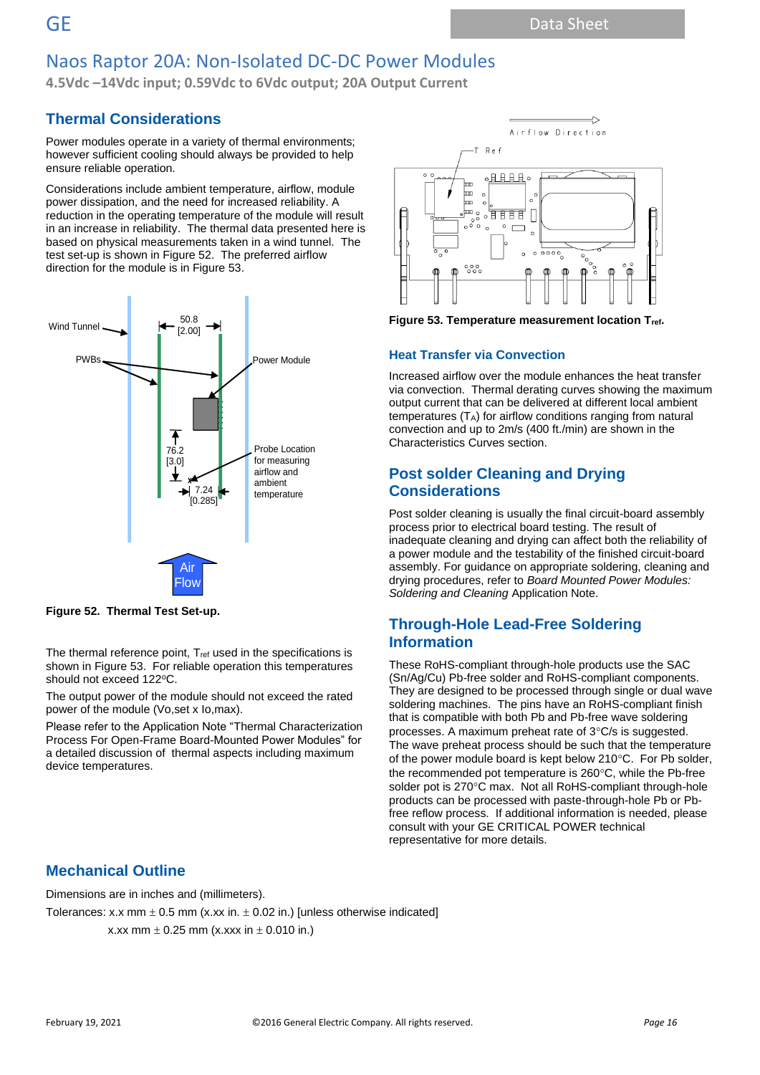**4.5Vdc –14Vdc input; 0.59Vdc to 6Vdc output; 20A Output Current**

### **Thermal Considerations**

Power modules operate in a variety of thermal environments; however sufficient cooling should always be provided to help ensure reliable operation.

Considerations include ambient temperature, airflow, module power dissipation, and the need for increased reliability. A reduction in the operating temperature of the module will result in an increase in reliability. The thermal data presented here is based on physical measurements taken in a wind tunnel. The test set-up is shown in Figure 52. The preferred airflow direction for the module is in Figure 53.



**Figure 52. Thermal Test Set-up.**

The thermal reference point,  $T_{ref}$  used in the specifications is shown in Figure 53. For reliable operation this temperatures should not exceed 122°C.

The output power of the module should not exceed the rated power of the module (Vo,set x Io,max).

Please refer to the Application Note "Thermal Characterization Process For Open-Frame Board-Mounted Power Modules" for a detailed discussion of thermal aspects including maximum device temperatures.



**Figure 53. Temperature measurement location Tref.**

#### **Heat Transfer via Convection**

Increased airflow over the module enhances the heat transfer via convection. Thermal derating curves showing the maximum output current that can be delivered at different local ambient temperatures (TA) for airflow conditions ranging from natural convection and up to 2m/s (400 ft./min) are shown in the Characteristics Curves section.

### **Post solder Cleaning and Drying Considerations**

Post solder cleaning is usually the final circuit-board assembly process prior to electrical board testing. The result of inadequate cleaning and drying can affect both the reliability of a power module and the testability of the finished circuit-board assembly. For guidance on appropriate soldering, cleaning and drying procedures, refer to *Board Mounted Power Modules: Soldering and Cleaning* Application Note.

### **Through-Hole Lead-Free Soldering Information**

These RoHS-compliant through-hole products use the SAC (Sn/Ag/Cu) Pb-free solder and RoHS-compliant components. They are designed to be processed through single or dual wave soldering machines. The pins have an RoHS-compliant finish that is compatible with both Pb and Pb-free wave soldering processes. A maximum preheat rate of 3°C/s is suggested. The wave preheat process should be such that the temperature of the power module board is kept below  $210^{\circ}$ C. For Pb solder, the recommended pot temperature is 260°C, while the Pb-free solder pot is 270°C max. Not all RoHS-compliant through-hole products can be processed with paste-through-hole Pb or Pbfree reflow process. If additional information is needed, please consult with your GE CRITICAL POWER technical representative for more details.

### **Mechanical Outline**

Dimensions are in inches and (millimeters).

Tolerances: x.x mm  $\pm$  0.5 mm (x.xx in.  $\pm$  0.02 in.) [unless otherwise indicated]

x.xx mm  $\pm$  0.25 mm (x.xxx in  $\pm$  0.010 in.)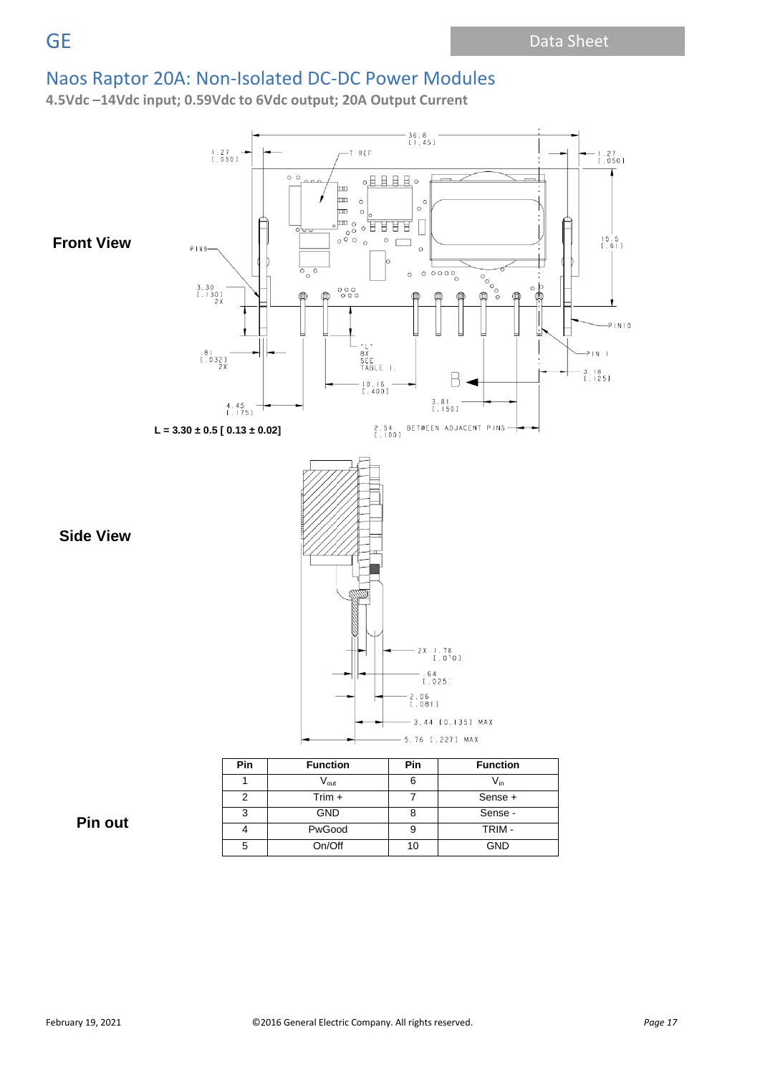**4.5Vdc –14Vdc input; 0.59Vdc to 6Vdc output; 20A Output Current**

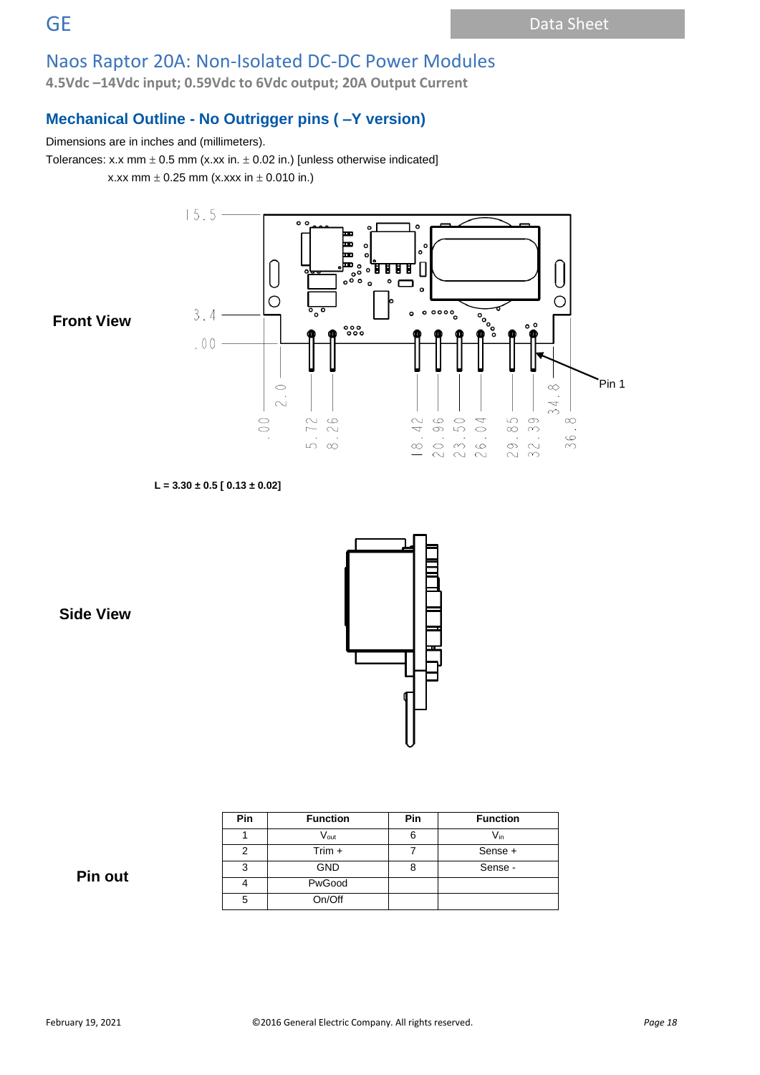Pin 1

 $\infty$ 34.

 $\infty$ 

36

29.85<br>32.39

# Naos Raptor 20A: Non-Isolated DC-DC Power Modules

 $\circ$  c

 $\circ$ 

 $\circ$ 

 $\sim$ 

 $\bigcirc$ 

 $72$ 

 $\frac{8}{2}$ 

ᆖ m

້。ິ  $\circ$ 

ၜၜၜ

ष्ठ ष्ठ ष्ठ L

 $\circ$ 

 $\bullet$ 

 $42$ 

 $\infty$ 

 $\circ$   $\circ$   $\circ$   $\circ$ 

96<br>50

 $20.$ 

 $\overset{\circ}{\bullet}$   $\overset{\circ}{\bullet}$ 

 $26.04$ 

 $\circ$ 

**4.5Vdc –14Vdc input; 0.59Vdc to 6Vdc output; 20A Output Current**

### **Mechanical Outline - No Outrigger pins ( –Y version)**

Dimensions are in inches and (millimeters).

Tolerances: x.x mm  $\pm$  0.5 mm (x.xx in.  $\pm$  0.02 in.) [unless otherwise indicated]

x.xx mm  $\pm$  0.25 mm (x.xxx in  $\pm$  0.010 in.)

 $15.5 -$ 

 $3.4$ 

 $.00$ 

![](_page_17_Figure_8.jpeg)

![](_page_17_Figure_9.jpeg)

![](_page_17_Figure_10.jpeg)

![](_page_17_Figure_11.jpeg)

| <b>Pin</b> | <b>Function</b>  | Pin | <b>Function</b> |
|------------|------------------|-----|-----------------|
|            | V <sub>out</sub> |     | V <sub>in</sub> |
|            | Trim +           |     | Sense +         |
|            | <b>GND</b>       |     | Sense -         |
|            | PwGood           |     |                 |
| 5          | On/Off           |     |                 |

 **Pin out**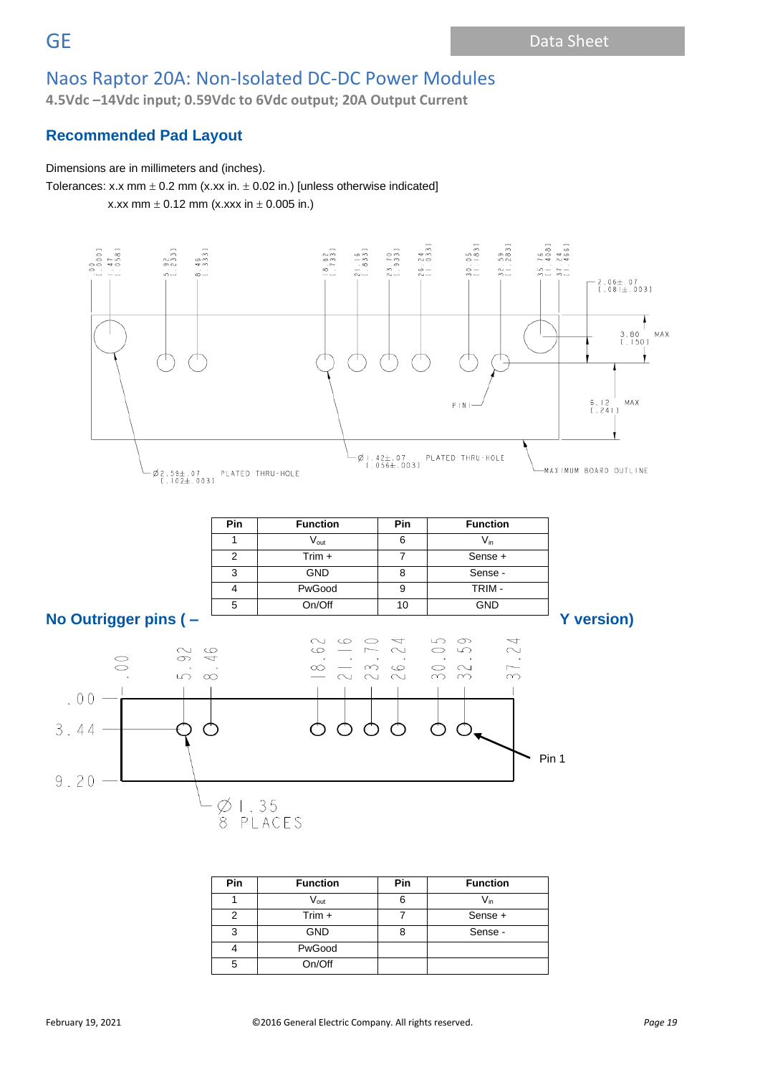**4.5Vdc –14Vdc input; 0.59Vdc to 6Vdc output; 20A Output Current**

# **Recommended Pad Layout**

Dimensions are in millimeters and (inches).

Tolerances: x.x mm  $\pm$  0.2 mm (x.xx in.  $\pm$  0.02 in.) [unless otherwise indicated]

x.xx mm  $\pm$  0.12 mm (x.xxx in  $\pm$  0.005 in.)

![](_page_18_Figure_8.jpeg)

| Pin | <b>Function</b>             | Pin | <b>Function</b> |
|-----|-----------------------------|-----|-----------------|
|     | $\mathsf{V}_{\mathsf{out}}$ | 6   | $V_{in}$        |
| っ   | $Tim +$                     |     | Sense +         |
| 3   | <b>GND</b>                  | 8   | Sense -         |
|     | PwGood                      |     |                 |
| 5   | On/Off                      |     |                 |